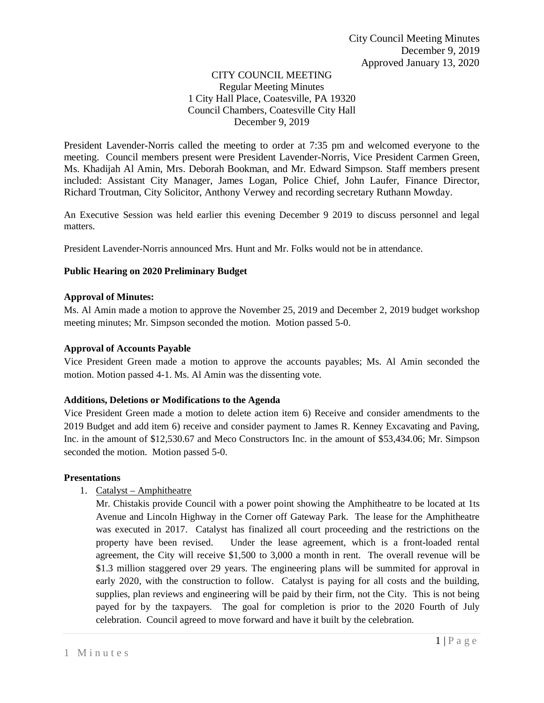## CITY COUNCIL MEETING Regular Meeting Minutes 1 City Hall Place, Coatesville, PA 19320 Council Chambers, Coatesville City Hall December 9, 2019

President Lavender-Norris called the meeting to order at 7:35 pm and welcomed everyone to the meeting. Council members present were President Lavender-Norris, Vice President Carmen Green, Ms. Khadijah Al Amin, Mrs. Deborah Bookman, and Mr. Edward Simpson. Staff members present included: Assistant City Manager, James Logan, Police Chief, John Laufer, Finance Director, Richard Troutman, City Solicitor, Anthony Verwey and recording secretary Ruthann Mowday.

An Executive Session was held earlier this evening December 9 2019 to discuss personnel and legal matters.

President Lavender-Norris announced Mrs. Hunt and Mr. Folks would not be in attendance.

# **Public Hearing on 2020 Preliminary Budget**

### **Approval of Minutes:**

Ms. Al Amin made a motion to approve the November 25, 2019 and December 2, 2019 budget workshop meeting minutes; Mr. Simpson seconded the motion. Motion passed 5-0.

## **Approval of Accounts Payable**

Vice President Green made a motion to approve the accounts payables; Ms. Al Amin seconded the motion. Motion passed 4-1. Ms. Al Amin was the dissenting vote.

### **Additions, Deletions or Modifications to the Agenda**

Vice President Green made a motion to delete action item 6) Receive and consider amendments to the 2019 Budget and add item 6) receive and consider payment to James R. Kenney Excavating and Paving, Inc. in the amount of \$12,530.67 and Meco Constructors Inc. in the amount of \$53,434.06; Mr. Simpson seconded the motion. Motion passed 5-0.

### **Presentations**

1. Catalyst – Amphitheatre

Mr. Chistakis provide Council with a power point showing the Amphitheatre to be located at 1ts Avenue and Lincoln Highway in the Corner off Gateway Park. The lease for the Amphitheatre was executed in 2017. Catalyst has finalized all court proceeding and the restrictions on the property have been revised. Under the lease agreement, which is a front-loaded rental agreement, the City will receive \$1,500 to 3,000 a month in rent. The overall revenue will be \$1.3 million staggered over 29 years. The engineering plans will be summited for approval in early 2020, with the construction to follow. Catalyst is paying for all costs and the building, supplies, plan reviews and engineering will be paid by their firm, not the City. This is not being payed for by the taxpayers. The goal for completion is prior to the 2020 Fourth of July celebration. Council agreed to move forward and have it built by the celebration.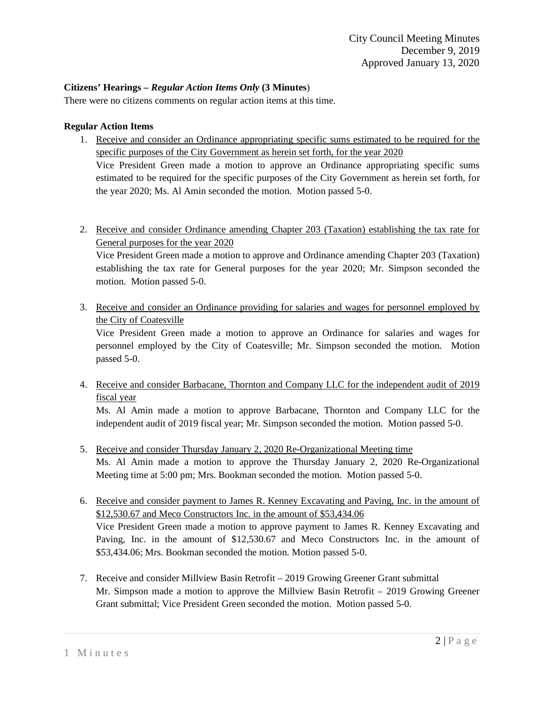## **Citizens' Hearings –** *Regular Action Items Only* **(3 Minutes**)

There were no citizens comments on regular action items at this time.

## **Regular Action Items**

- 1. Receive and consider an Ordinance appropriating specific sums estimated to be required for the specific purposes of the City Government as herein set forth, for the year 2020 Vice President Green made a motion to approve an Ordinance appropriating specific sums estimated to be required for the specific purposes of the City Government as herein set forth, for the year 2020; Ms. Al Amin seconded the motion. Motion passed 5-0.
- 2. Receive and consider Ordinance amending Chapter 203 (Taxation) establishing the tax rate for General purposes for the year 2020

Vice President Green made a motion to approve and Ordinance amending Chapter 203 (Taxation) establishing the tax rate for General purposes for the year 2020; Mr. Simpson seconded the motion. Motion passed 5-0.

3. Receive and consider an Ordinance providing for salaries and wages for personnel employed by the City of Coatesville

Vice President Green made a motion to approve an Ordinance for salaries and wages for personnel employed by the City of Coatesville; Mr. Simpson seconded the motion. Motion passed 5-0.

4. Receive and consider Barbacane, Thornton and Company LLC for the independent audit of 2019 fiscal year

Ms. Al Amin made a motion to approve Barbacane, Thornton and Company LLC for the independent audit of 2019 fiscal year; Mr. Simpson seconded the motion. Motion passed 5-0.

- 5. Receive and consider Thursday January 2, 2020 Re-Organizational Meeting time Ms. Al Amin made a motion to approve the Thursday January 2, 2020 Re-Organizational Meeting time at 5:00 pm; Mrs. Bookman seconded the motion. Motion passed 5-0.
- 6. Receive and consider payment to James R. Kenney Excavating and Paving, Inc. in the amount of \$12,530.67 and Meco Constructors Inc. in the amount of \$53,434.06 Vice President Green made a motion to approve payment to James R. Kenney Excavating and Paving, Inc. in the amount of \$12,530.67 and Meco Constructors Inc. in the amount of \$53,434.06; Mrs. Bookman seconded the motion. Motion passed 5-0.
- 7. Receive and consider Millview Basin Retrofit 2019 Growing Greener Grant submittal Mr. Simpson made a motion to approve the Millview Basin Retrofit – 2019 Growing Greener Grant submittal; Vice President Green seconded the motion. Motion passed 5-0.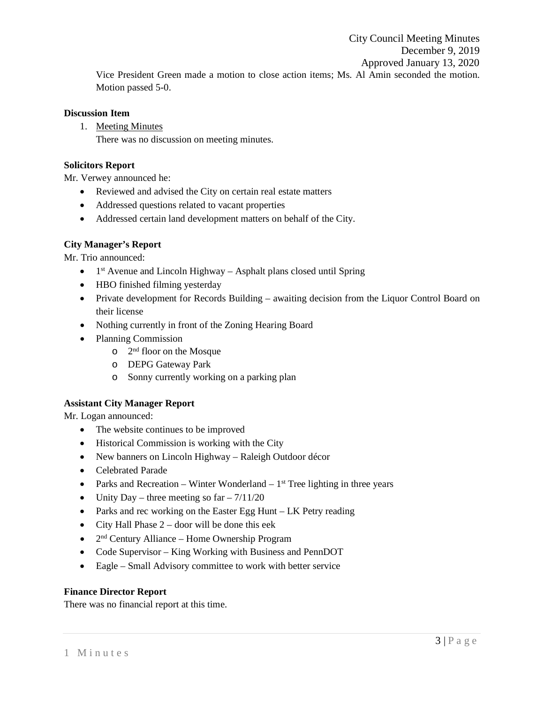City Council Meeting Minutes December 9, 2019 Approved January 13, 2020 Vice President Green made a motion to close action items; Ms. Al Amin seconded the motion. Motion passed 5-0.

#### **Discussion Item**

1. Meeting Minutes There was no discussion on meeting minutes.

#### **Solicitors Report**

Mr. Verwey announced he:

- Reviewed and advised the City on certain real estate matters
- Addressed questions related to vacant properties
- Addressed certain land development matters on behalf of the City.

### **City Manager's Report**

Mr. Trio announced:

- $1<sup>st</sup>$  Avenue and Lincoln Highway Asphalt plans closed until Spring
- HBO finished filming yesterday
- Private development for Records Building awaiting decision from the Liquor Control Board on their license
- Nothing currently in front of the Zoning Hearing Board
- Planning Commission
	- o 2nd floor on the Mosque
	- o DEPG Gateway Park
	- o Sonny currently working on a parking plan

### **Assistant City Manager Report**

Mr. Logan announced:

- The website continues to be improved
- Historical Commission is working with the City
- New banners on Lincoln Highway Raleigh Outdoor décor
- Celebrated Parade
- Parks and Recreation Winter Wonderland  $1<sup>st</sup>$  Tree lighting in three years
- Unity Day three meeting so  $far 7/11/20$
- Parks and rec working on the Easter Egg Hunt LK Petry reading
- City Hall Phase  $2 -$  door will be done this eek
- 2<sup>nd</sup> Century Alliance Home Ownership Program
- Code Supervisor King Working with Business and PennDOT
- Eagle Small Advisory committee to work with better service

#### **Finance Director Report**

There was no financial report at this time.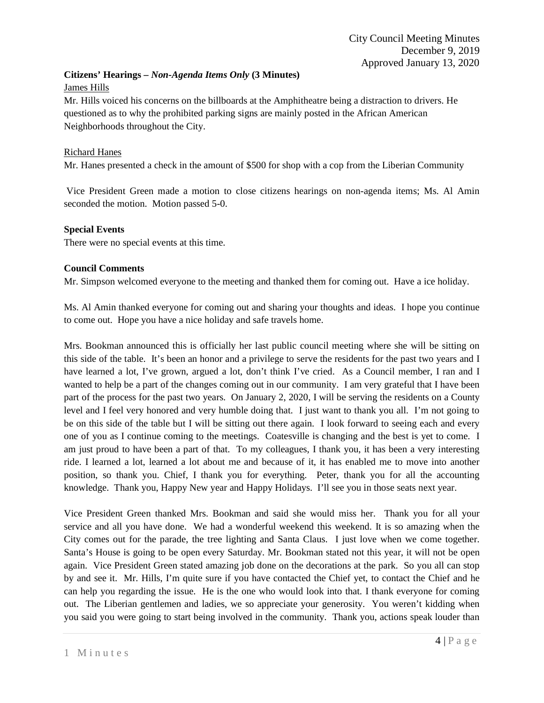## **Citizens' Hearings –** *Non-Agenda Items Only* **(3 Minutes)**

### James Hills

Mr. Hills voiced his concerns on the billboards at the Amphitheatre being a distraction to drivers. He questioned as to why the prohibited parking signs are mainly posted in the African American Neighborhoods throughout the City.

## Richard Hanes

Mr. Hanes presented a check in the amount of \$500 for shop with a cop from the Liberian Community

Vice President Green made a motion to close citizens hearings on non-agenda items; Ms. Al Amin seconded the motion. Motion passed 5-0.

### **Special Events**

There were no special events at this time.

## **Council Comments**

Mr. Simpson welcomed everyone to the meeting and thanked them for coming out. Have a ice holiday.

Ms. Al Amin thanked everyone for coming out and sharing your thoughts and ideas. I hope you continue to come out. Hope you have a nice holiday and safe travels home.

Mrs. Bookman announced this is officially her last public council meeting where she will be sitting on this side of the table. It's been an honor and a privilege to serve the residents for the past two years and I have learned a lot, I've grown, argued a lot, don't think I've cried. As a Council member, I ran and I wanted to help be a part of the changes coming out in our community. I am very grateful that I have been part of the process for the past two years. On January 2, 2020, I will be serving the residents on a County level and I feel very honored and very humble doing that. I just want to thank you all. I'm not going to be on this side of the table but I will be sitting out there again. I look forward to seeing each and every one of you as I continue coming to the meetings. Coatesville is changing and the best is yet to come. I am just proud to have been a part of that. To my colleagues, I thank you, it has been a very interesting ride. I learned a lot, learned a lot about me and because of it, it has enabled me to move into another position, so thank you. Chief, I thank you for everything. Peter, thank you for all the accounting knowledge. Thank you, Happy New year and Happy Holidays. I'll see you in those seats next year.

Vice President Green thanked Mrs. Bookman and said she would miss her. Thank you for all your service and all you have done. We had a wonderful weekend this weekend. It is so amazing when the City comes out for the parade, the tree lighting and Santa Claus. I just love when we come together. Santa's House is going to be open every Saturday. Mr. Bookman stated not this year, it will not be open again. Vice President Green stated amazing job done on the decorations at the park. So you all can stop by and see it. Mr. Hills, I'm quite sure if you have contacted the Chief yet, to contact the Chief and he can help you regarding the issue. He is the one who would look into that. I thank everyone for coming out. The Liberian gentlemen and ladies, we so appreciate your generosity. You weren't kidding when you said you were going to start being involved in the community. Thank you, actions speak louder than